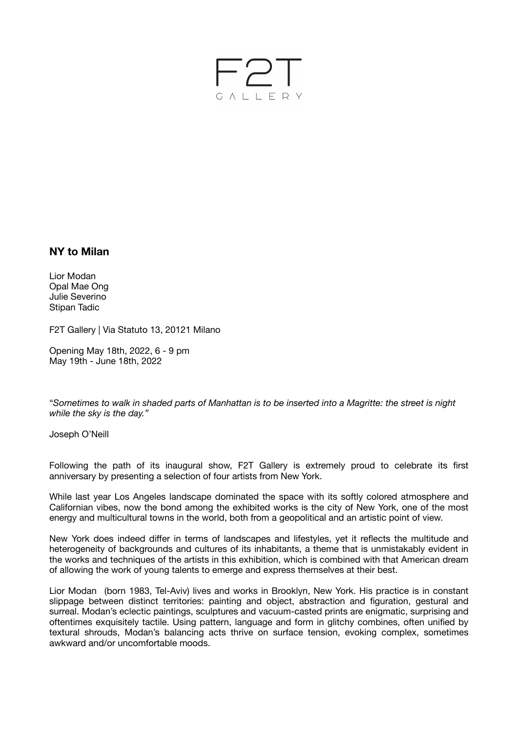

## **NY to Milan**

Lior Modan Opal Mae Ong Julie Severino Stipan Tadic

F2T Gallery | Via Statuto 13, 20121 Milano

Opening May 18th, 2022, 6 - 9 pm May 19th - June 18th, 2022

"*Sometimes to walk in shaded parts of Manhattan is to be inserted into a Magritte: the street is night while the sky is the day."* 

Joseph O'Neill

Following the path of its inaugural show, F2T Gallery is extremely proud to celebrate its first anniversary by presenting a selection of four artists from New York.

While last year Los Angeles landscape dominated the space with its softly colored atmosphere and Californian vibes, now the bond among the exhibited works is the city of New York, one of the most energy and multicultural towns in the world, both from a geopolitical and an artistic point of view.

New York does indeed differ in terms of landscapes and lifestyles, yet it reflects the multitude and heterogeneity of backgrounds and cultures of its inhabitants, a theme that is unmistakably evident in the works and techniques of the artists in this exhibition, which is combined with that American dream of allowing the work of young talents to emerge and express themselves at their best.

Lior Modan (born 1983, Tel-Aviv) lives and works in Brooklyn, New York. His practice is in constant slippage between distinct territories: painting and object, abstraction and figuration, gestural and surreal. Modan's eclectic paintings, sculptures and vacuum-casted prints are enigmatic, surprising and oftentimes exquisitely tactile. Using pattern, language and form in glitchy combines, often unified by textural shrouds, Modan's balancing acts thrive on surface tension, evoking complex, sometimes awkward and/or uncomfortable moods.